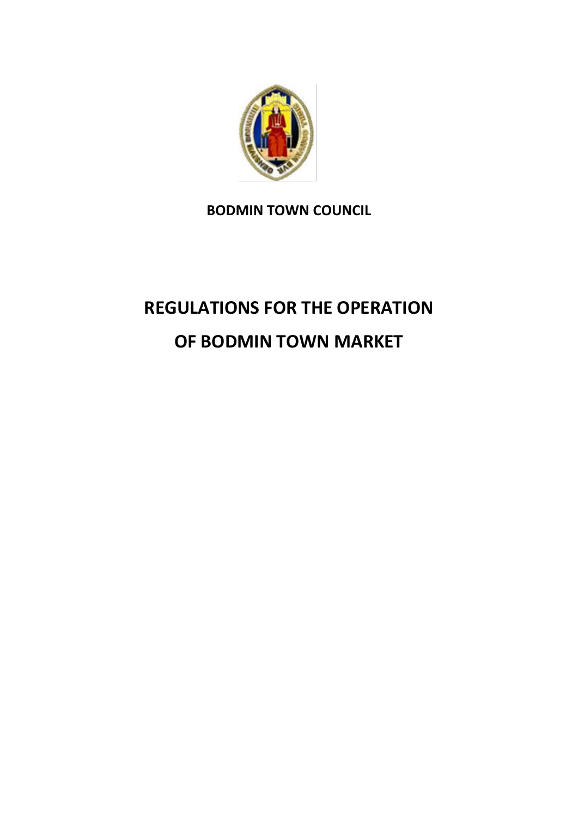

# **BODMIN TOWN COUNCIL**

# **REGULATIONS FOR THE OPERATION OF BODMIN TOWN MARKET**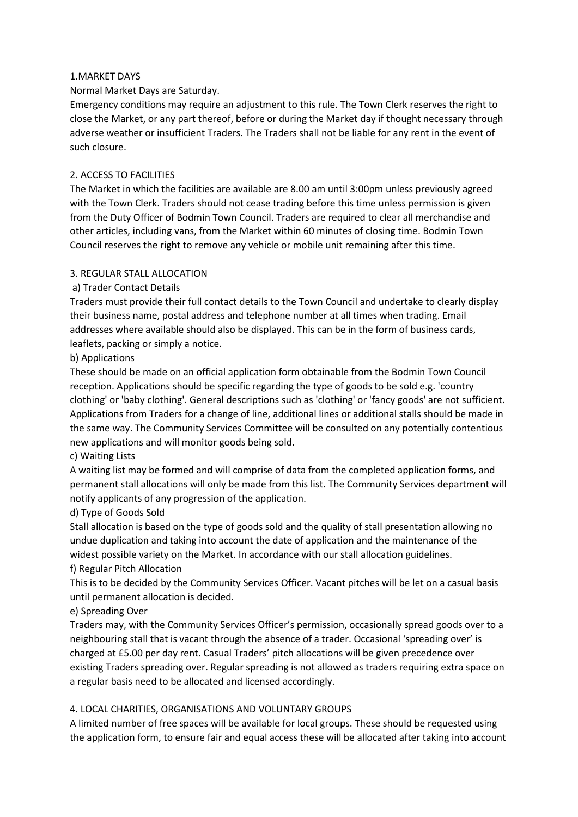#### 1.MARKET DAYS

Normal Market Days are Saturday.

Emergency conditions may require an adjustment to this rule. The Town Clerk reserves the right to close the Market, or any part thereof, before or during the Market day if thought necessary through adverse weather or insufficient Traders. The Traders shall not be liable for any rent in the event of such closure.

# 2. ACCESS TO FACILITIES

The Market in which the facilities are available are 8.00 am until 3:00pm unless previously agreed with the Town Clerk. Traders should not cease trading before this time unless permission is given from the Duty Officer of Bodmin Town Council. Traders are required to clear all merchandise and other articles, including vans, from the Market within 60 minutes of closing time. Bodmin Town Council reserves the right to remove any vehicle or mobile unit remaining after this time.

## 3. REGULAR STALL ALLOCATION

## a) Trader Contact Details

Traders must provide their full contact details to the Town Council and undertake to clearly display their business name, postal address and telephone number at all times when trading. Email addresses where available should also be displayed. This can be in the form of business cards, leaflets, packing or simply a notice.

#### b) Applications

These should be made on an official application form obtainable from the Bodmin Town Council reception. Applications should be specific regarding the type of goods to be sold e.g. 'country clothing' or 'baby clothing'. General descriptions such as 'clothing' or 'fancy goods' are not sufficient. Applications from Traders for a change of line, additional lines or additional stalls should be made in the same way. The Community Services Committee will be consulted on any potentially contentious new applications and will monitor goods being sold.

#### c) Waiting Lists

A waiting list may be formed and will comprise of data from the completed application forms, and permanent stall allocations will only be made from this list. The Community Services department will notify applicants of any progression of the application.

#### d) Type of Goods Sold

Stall allocation is based on the type of goods sold and the quality of stall presentation allowing no undue duplication and taking into account the date of application and the maintenance of the widest possible variety on the Market. In accordance with our stall allocation guidelines.

#### f) Regular Pitch Allocation

This is to be decided by the Community Services Officer. Vacant pitches will be let on a casual basis until permanent allocation is decided.

#### e) Spreading Over

Traders may, with the Community Services Officer's permission, occasionally spread goods over to a neighbouring stall that is vacant through the absence of a trader. Occasional 'spreading over' is charged at £5.00 per day rent. Casual Traders' pitch allocations will be given precedence over existing Traders spreading over. Regular spreading is not allowed as traders requiring extra space on a regular basis need to be allocated and licensed accordingly.

#### 4. LOCAL CHARITIES, ORGANISATIONS AND VOLUNTARY GROUPS

A limited number of free spaces will be available for local groups. These should be requested using the application form, to ensure fair and equal access these will be allocated after taking into account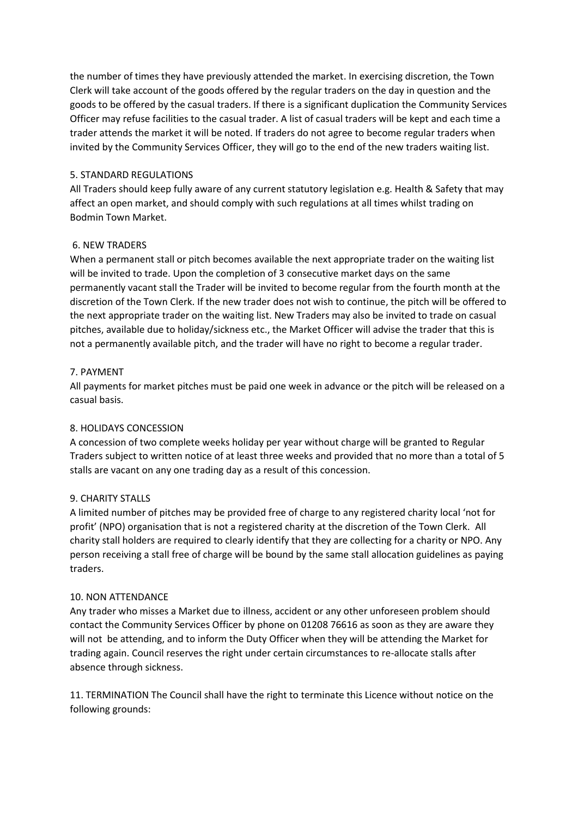the number of times they have previously attended the market. In exercising discretion, the Town Clerk will take account of the goods offered by the regular traders on the day in question and the goods to be offered by the casual traders. If there is a significant duplication the Community Services Officer may refuse facilities to the casual trader. A list of casual traders will be kept and each time a trader attends the market it will be noted. If traders do not agree to become regular traders when invited by the Community Services Officer, they will go to the end of the new traders waiting list.

# 5. STANDARD REGULATIONS

All Traders should keep fully aware of any current statutory legislation e.g. Health & Safety that may affect an open market, and should comply with such regulations at all times whilst trading on Bodmin Town Market.

## 6. NEW TRADERS

When a permanent stall or pitch becomes available the next appropriate trader on the waiting list will be invited to trade. Upon the completion of 3 consecutive market days on the same permanently vacant stall the Trader will be invited to become regular from the fourth month at the discretion of the Town Clerk. If the new trader does not wish to continue, the pitch will be offered to the next appropriate trader on the waiting list. New Traders may also be invited to trade on casual pitches, available due to holiday/sickness etc., the Market Officer will advise the trader that this is not a permanently available pitch, and the trader will have no right to become a regular trader.

## 7. PAYMENT

All payments for market pitches must be paid one week in advance or the pitch will be released on a casual basis.

# 8. HOLIDAYS CONCESSION

A concession of two complete weeks holiday per year without charge will be granted to Regular Traders subject to written notice of at least three weeks and provided that no more than a total of 5 stalls are vacant on any one trading day as a result of this concession.

#### 9. CHARITY STALLS

A limited number of pitches may be provided free of charge to any registered charity local 'not for profit' (NPO) organisation that is not a registered charity at the discretion of the Town Clerk. All charity stall holders are required to clearly identify that they are collecting for a charity or NPO. Any person receiving a stall free of charge will be bound by the same stall allocation guidelines as paying traders.

#### 10. NON ATTENDANCE

Any trader who misses a Market due to illness, accident or any other unforeseen problem should contact the Community Services Officer by phone on 01208 76616 as soon as they are aware they will not be attending, and to inform the Duty Officer when they will be attending the Market for trading again. Council reserves the right under certain circumstances to re-allocate stalls after absence through sickness.

11. TERMINATION The Council shall have the right to terminate this Licence without notice on the following grounds: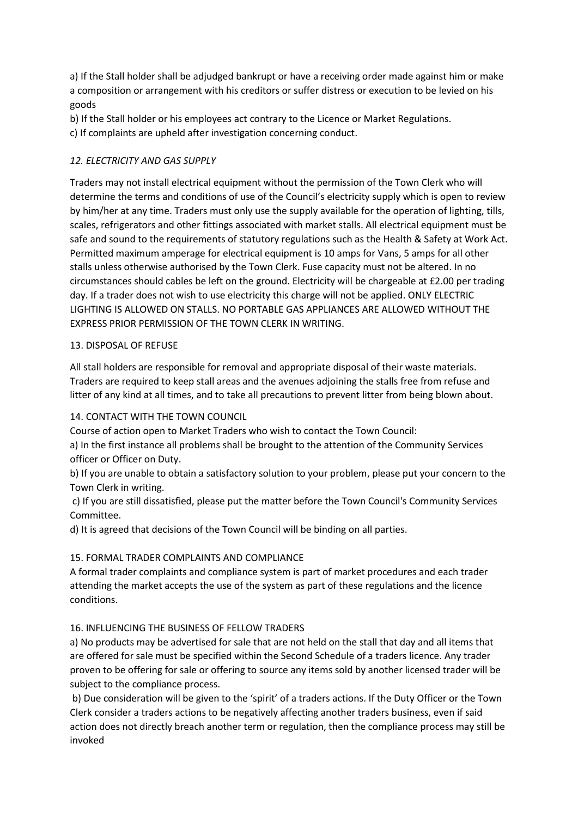a) If the Stall holder shall be adjudged bankrupt or have a receiving order made against him or make a composition or arrangement with his creditors or suffer distress or execution to be levied on his goods

b) If the Stall holder or his employees act contrary to the Licence or Market Regulations.

c) If complaints are upheld after investigation concerning conduct.

# *12. ELECTRICITY AND GAS SUPPLY*

Traders may not install electrical equipment without the permission of the Town Clerk who will determine the terms and conditions of use of the Council's electricity supply which is open to review by him/her at any time. Traders must only use the supply available for the operation of lighting, tills, scales, refrigerators and other fittings associated with market stalls. All electrical equipment must be safe and sound to the requirements of statutory regulations such as the Health & Safety at Work Act. Permitted maximum amperage for electrical equipment is 10 amps for Vans, 5 amps for all other stalls unless otherwise authorised by the Town Clerk. Fuse capacity must not be altered. In no circumstances should cables be left on the ground. Electricity will be chargeable at £2.00 per trading day. If a trader does not wish to use electricity this charge will not be applied. ONLY ELECTRIC LIGHTING IS ALLOWED ON STALLS. NO PORTABLE GAS APPLIANCES ARE ALLOWED WITHOUT THE EXPRESS PRIOR PERMISSION OF THE TOWN CLERK IN WRITING.

## 13. DISPOSAL OF REFUSE

All stall holders are responsible for removal and appropriate disposal of their waste materials. Traders are required to keep stall areas and the avenues adjoining the stalls free from refuse and litter of any kind at all times, and to take all precautions to prevent litter from being blown about.

# 14. CONTACT WITH THE TOWN COUNCIL

Course of action open to Market Traders who wish to contact the Town Council:

a) In the first instance all problems shall be brought to the attention of the Community Services officer or Officer on Duty.

b) If you are unable to obtain a satisfactory solution to your problem, please put your concern to the Town Clerk in writing.

c) If you are still dissatisfied, please put the matter before the Town Council's Community Services Committee.

d) It is agreed that decisions of the Town Council will be binding on all parties.

# 15. FORMAL TRADER COMPLAINTS AND COMPLIANCE

A formal trader complaints and compliance system is part of market procedures and each trader attending the market accepts the use of the system as part of these regulations and the licence conditions.

# 16. INFLUENCING THE BUSINESS OF FELLOW TRADERS

a) No products may be advertised for sale that are not held on the stall that day and all items that are offered for sale must be specified within the Second Schedule of a traders licence. Any trader proven to be offering for sale or offering to source any items sold by another licensed trader will be subject to the compliance process.

b) Due consideration will be given to the 'spirit' of a traders actions. If the Duty Officer or the Town Clerk consider a traders actions to be negatively affecting another traders business, even if said action does not directly breach another term or regulation, then the compliance process may still be invoked